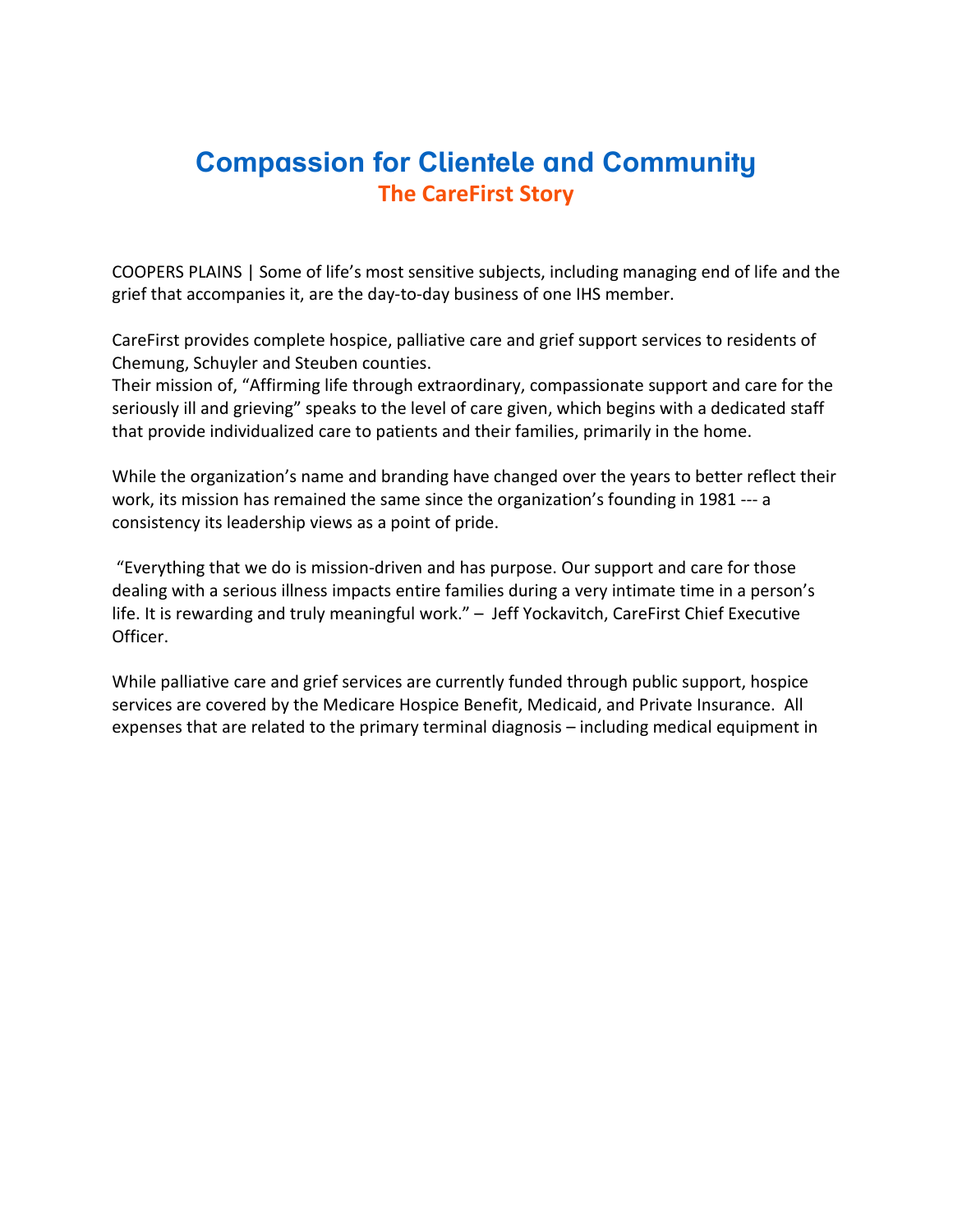## **[Compassion for Clientele and Community](https://files.constantcontact.com/2029c0f9001/51124532-b435-44f3-aa07-3da1fc7ff800.pdf) The CareFirst Story**

COOPERS PLAINS | Some of life's most sensitive subjects, including managing end of life and the grief that accompanies it, are the day-to-day business of one IHS member.

CareFirst provides complete hospice, palliative care and grief support services to residents of Chemung, Schuyler and Steuben counties.

Their mission of, "Affirming life through extraordinary, compassionate support and care for the seriously ill and grieving" speaks to the level of care given, which begins with a dedicated staff that provide individualized care to patients and their families, primarily in the home.

While the organization's name and branding have changed over the years to better reflect their work, its mission has remained the same since the organization's founding in 1981 --- a consistency its leadership views as a point of pride.

"Everything that we do is mission-driven and has purpose. Our support and care for those dealing with a serious illness impacts entire families during a very intimate time in a person's life. It is rewarding and truly meaningful work." – Jeff Yockavitch, CareFirst Chief Executive Officer.

While palliative care and grief services are currently funded through public support, hospice services are covered by the Medicare Hospice Benefit, Medicaid, and Private Insurance. All expenses that are related to the primary terminal diagnosis – including medical equipment in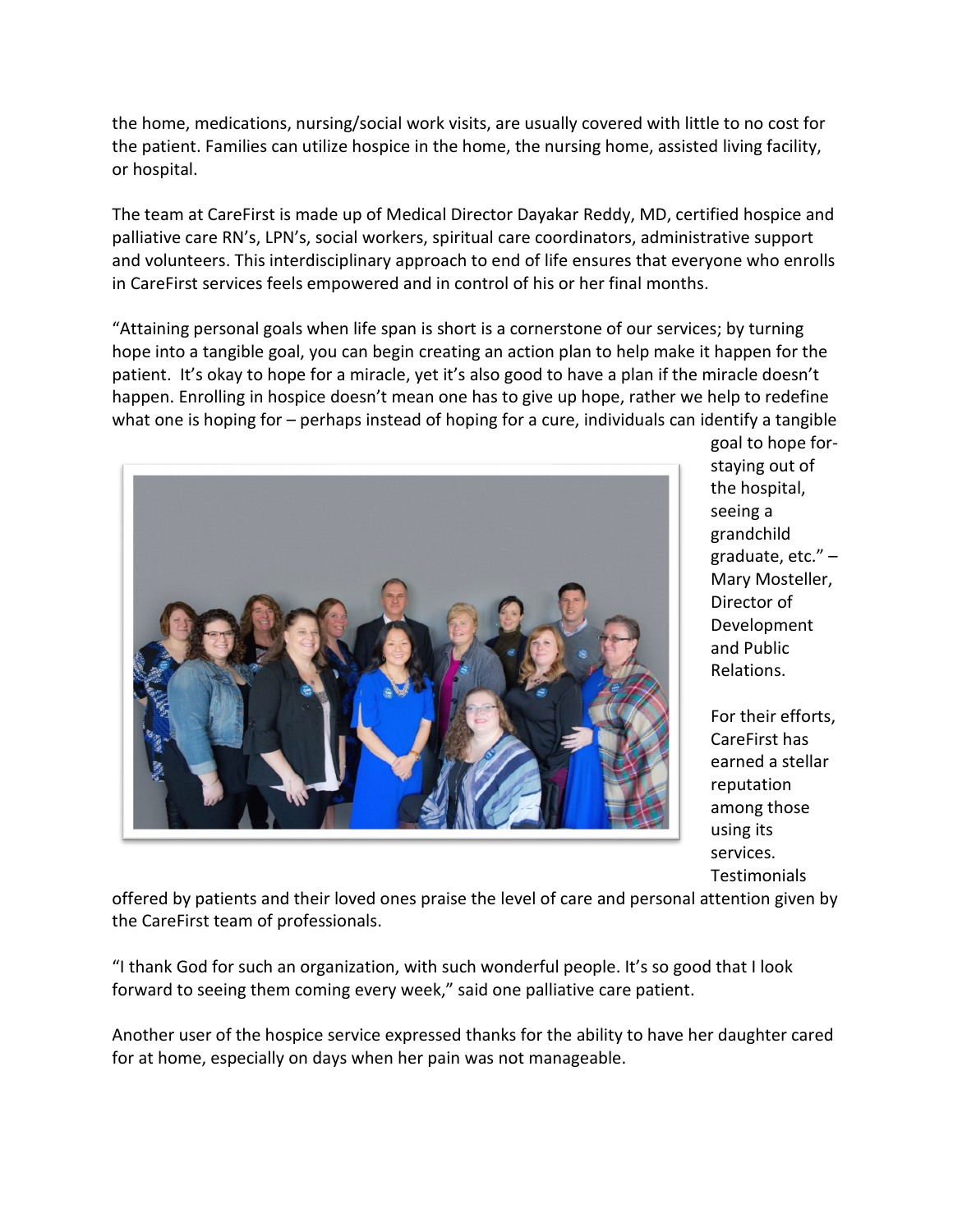the home, medications, nursing/social work visits, are usually covered with little to no cost for the patient. Families can utilize hospice in the home, the nursing home, assisted living facility, or hospital.

The team at CareFirst is made up of Medical Director Dayakar Reddy, MD, certified hospice and palliative care RN's, LPN's, social workers, spiritual care coordinators, administrative support and volunteers. This interdisciplinary approach to end of life ensures that everyone who enrolls in CareFirst services feels empowered and in control of his or her final months.

"Attaining personal goals when life span is short is a cornerstone of our services; by turning hope into a tangible goal, you can begin creating an action plan to help make it happen for the patient. It's okay to hope for a miracle, yet it's also good to have a plan if the miracle doesn't happen. Enrolling in hospice doesn't mean one has to give up hope, rather we help to redefine what one is hoping for – perhaps instead of hoping for a cure, individuals can identify a tangible



goal to hope forstaying out of the hospital, seeing a grandchild graduate, etc." – Mary Mosteller, Director of Development and Public Relations.

For their efforts, CareFirst has earned a stellar reputation among those using its services. Testimonials

offered by patients and their loved ones praise the level of care and personal attention given by the CareFirst team of professionals.

"I thank God for such an organization, with such wonderful people. It's so good that I look forward to seeing them coming every week," said one palliative care patient.

Another user of the hospice service expressed thanks for the ability to have her daughter cared for at home, especially on days when her pain was not manageable.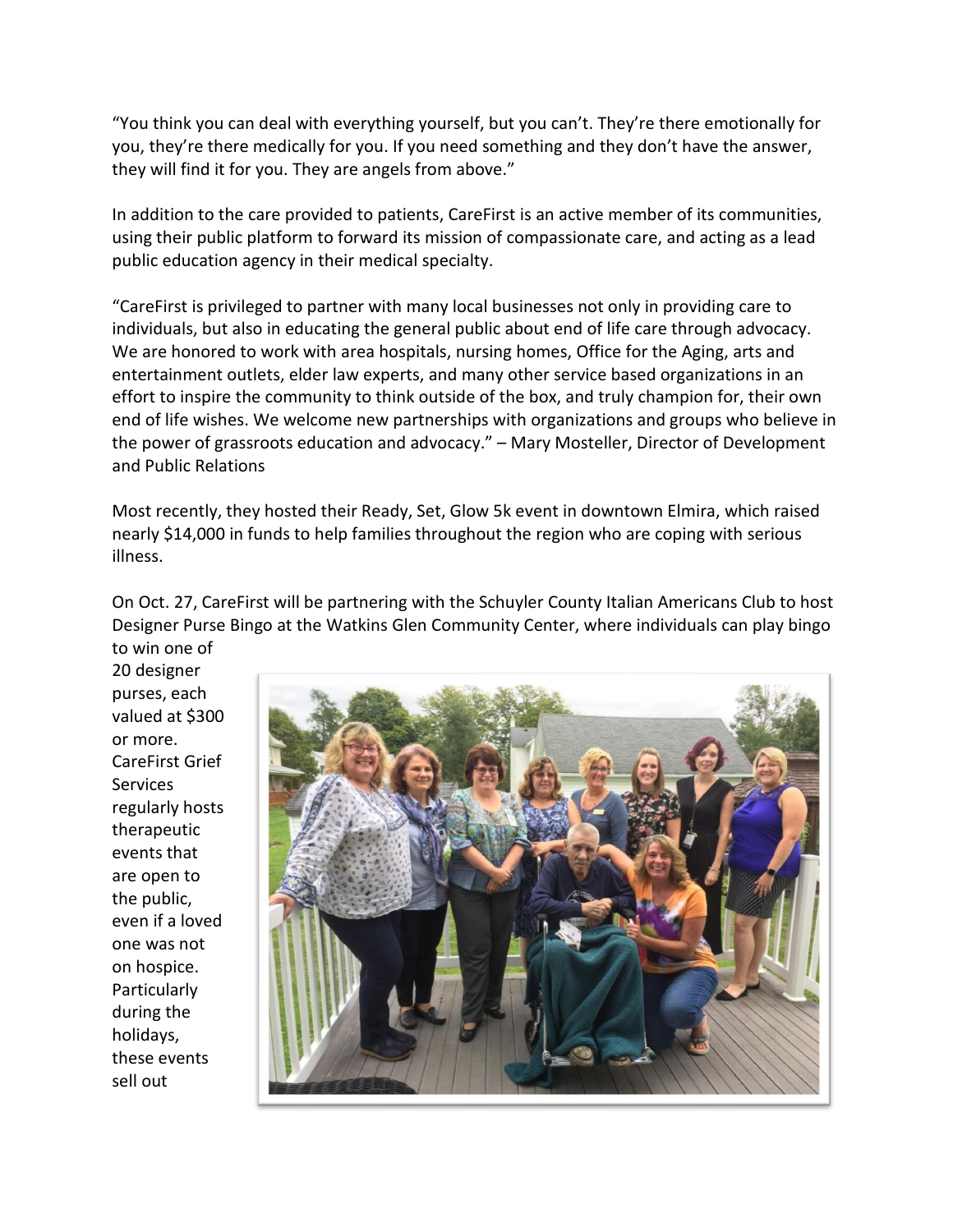"You think you can deal with everything yourself, but you can't. They're there emotionally for you, they're there medically for you. If you need something and they don't have the answer, they will find it for you. They are angels from above."

In addition to the care provided to patients, CareFirst is an active member of its communities, using their public platform to forward its mission of compassionate care, and acting as a lead public education agency in their medical specialty.

"CareFirst is privileged to partner with many local businesses not only in providing care to individuals, but also in educating the general public about end of life care through advocacy. We are honored to work with area hospitals, nursing homes, Office for the Aging, arts and entertainment outlets, elder law experts, and many other service based organizations in an effort to inspire the community to think outside of the box, and truly champion for, their own end of life wishes. We welcome new partnerships with organizations and groups who believe in the power of grassroots education and advocacy." – Mary Mosteller, Director of Development and Public Relations

Most recently, they hosted their Ready, Set, Glow 5k event in downtown Elmira, which raised nearly \$14,000 in funds to help families throughout the region who are coping with serious illness.

On Oct. 27, CareFirst will be partnering with the Schuyler County Italian Americans Club to host Designer Purse Bingo at the Watkins Glen Community Center, where individuals can play bingo to win one of

20 designer purses, each valued at \$300 or more. CareFirst Grief Services regularly hosts therapeutic events that are open to the public, even if a loved one was not on hospice. Particularly during the holidays, these events sell out